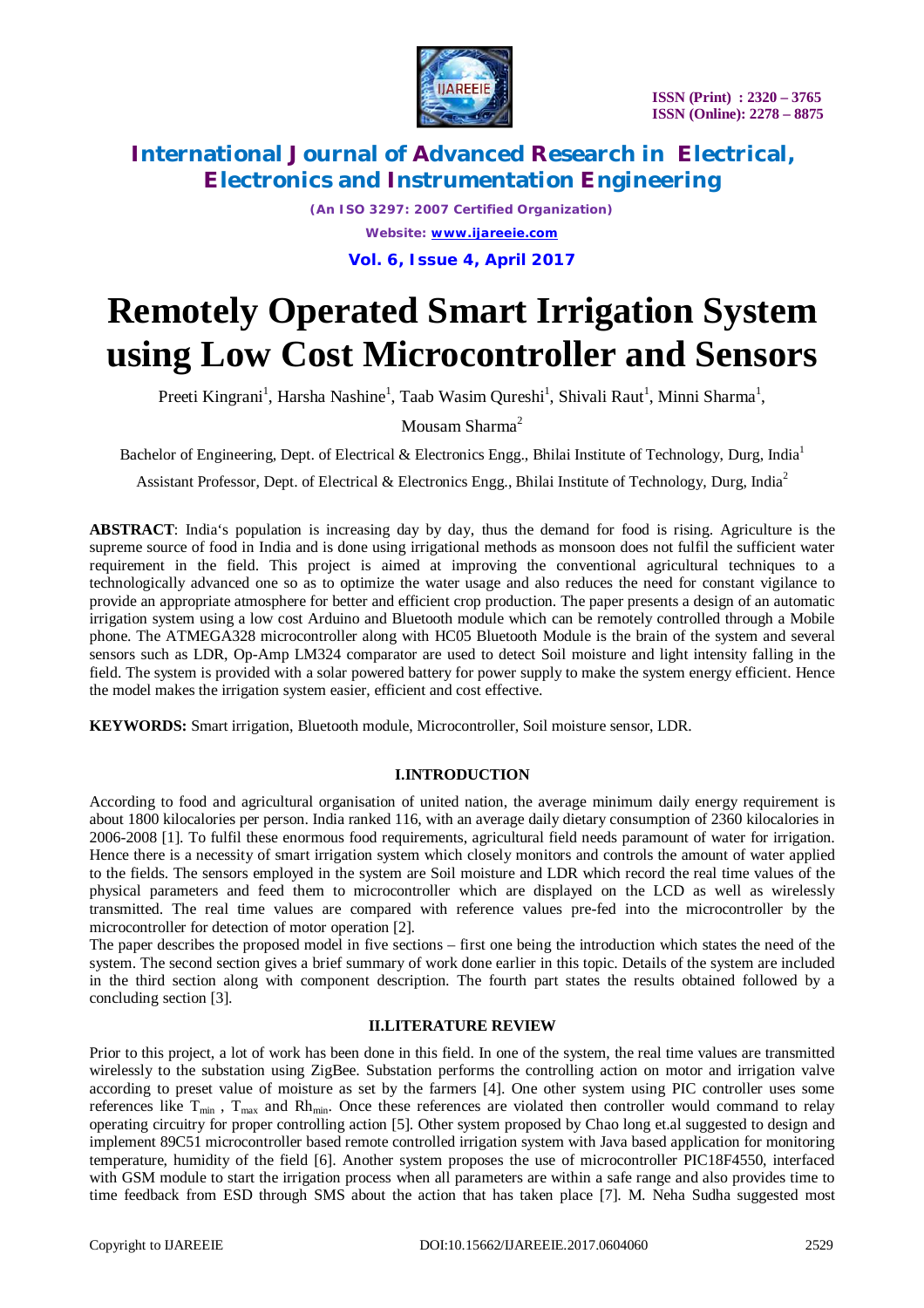

*(An ISO 3297: 2007 Certified Organization) Website: [www.ijareeie.com](http://www.ijareeie.com)* **Vol. 6, Issue 4, April 2017**

# **Remotely Operated Smart Irrigation System using Low Cost Microcontroller and Sensors**

Preeti Kingrani<sup>1</sup>, Harsha Nashine<sup>1</sup>, Taab Wasim Qureshi<sup>1</sup>, Shivali Raut<sup>1</sup>, Minni Sharma<sup>1</sup>,

Mousam Sharma<sup>2</sup>

Bachelor of Engineering, Dept. of Electrical & Electronics Engg., Bhilai Institute of Technology, Durg, India<sup>1</sup>

Assistant Professor, Dept. of Electrical & Electronics Engg., Bhilai Institute of Technology, Durg, India<sup>2</sup>

**ABSTRACT**: India's population is increasing day by day, thus the demand for food is rising. Agriculture is the supreme source of food in India and is done using irrigational methods as monsoon does not fulfil the sufficient water requirement in the field. This project is aimed at improving the conventional agricultural techniques to a technologically advanced one so as to optimize the water usage and also reduces the need for constant vigilance to provide an appropriate atmosphere for better and efficient crop production. The paper presents a design of an automatic irrigation system using a low cost Arduino and Bluetooth module which can be remotely controlled through a Mobile phone. The ATMEGA328 microcontroller along with HC05 Bluetooth Module is the brain of the system and several sensors such as LDR, Op-Amp LM324 comparator are used to detect Soil moisture and light intensity falling in the field. The system is provided with a solar powered battery for power supply to make the system energy efficient. Hence the model makes the irrigation system easier, efficient and cost effective.

**KEYWORDS:** Smart irrigation, Bluetooth module, Microcontroller, Soil moisture sensor, LDR.

#### **I.INTRODUCTION**

According to food and agricultural organisation of united nation, the average minimum daily energy requirement is about 1800 kilocalories per person. India ranked 116, with an average daily dietary consumption of 2360 kilocalories in 2006-2008 [1]. To fulfil these enormous food requirements, agricultural field needs paramount of water for irrigation. Hence there is a necessity of smart irrigation system which closely monitors and controls the amount of water applied to the fields. The sensors employed in the system are Soil moisture and LDR which record the real time values of the physical parameters and feed them to microcontroller which are displayed on the LCD as well as wirelessly transmitted. The real time values are compared with reference values pre-fed into the microcontroller by the microcontroller for detection of motor operation [2].

The paper describes the proposed model in five sections – first one being the introduction which states the need of the system. The second section gives a brief summary of work done earlier in this topic. Details of the system are included in the third section along with component description. The fourth part states the results obtained followed by a concluding section [3].

#### **II.LITERATURE REVIEW**

Prior to this project, a lot of work has been done in this field. In one of the system, the real time values are transmitted wirelessly to the substation using ZigBee. Substation performs the controlling action on motor and irrigation valve according to preset value of moisture as set by the farmers [4]. One other system using PIC controller uses some references like  $T_{min}$ ,  $T_{max}$  and Rh<sub>min</sub>. Once these references are violated then controller would command to relay operating circuitry for proper controlling action [5]. Other system proposed by Chao long et.al suggested to design and implement 89C51 microcontroller based remote controlled irrigation system with Java based application for monitoring temperature, humidity of the field [6]. Another system proposes the use of microcontroller PIC18F4550, interfaced with GSM module to start the irrigation process when all parameters are within a safe range and also provides time to time feedback from ESD through SMS about the action that has taken place [7]. M. Neha Sudha suggested most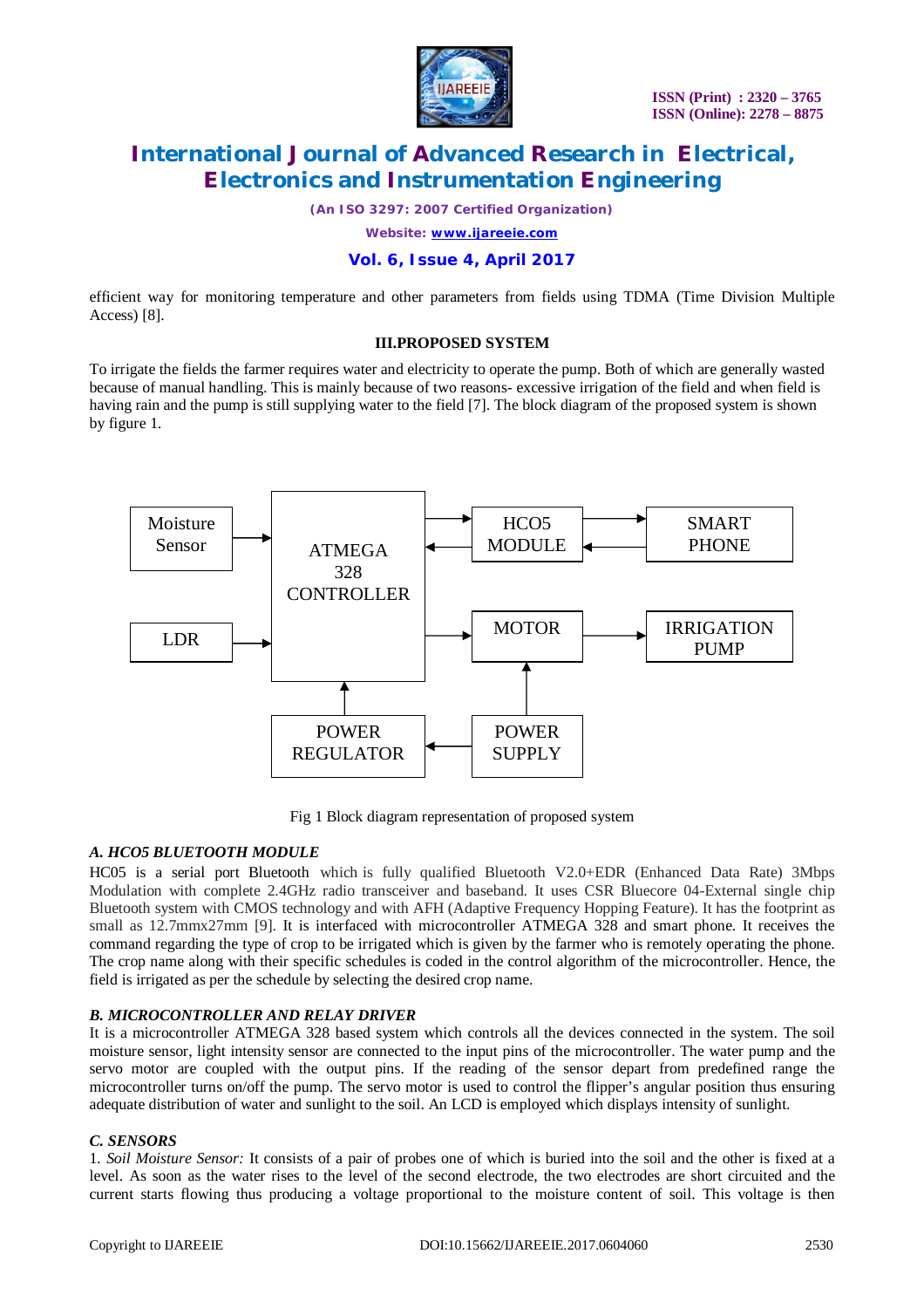

*(An ISO 3297: 2007 Certified Organization)*

*Website: [www.ijareeie.com](http://www.ijareeie.com)*

# **Vol. 6, Issue 4, April 2017**

efficient way for monitoring temperature and other parameters from fields using TDMA (Time Division Multiple Access) [8].

## **III.PROPOSED SYSTEM**

To irrigate the fields the farmer requires water and electricity to operate the pump. Both of which are generally wasted because of manual handling. This is mainly because of two reasons- excessive irrigation of the field and when field is having rain and the pump is still supplying water to the field [7]. The block diagram of the proposed system is shown by figure 1.



Fig 1 Block diagram representation of proposed system

## *A. HCO5 BLUETOOTH MODULE*

HC05 is a serial port Bluetooth which is fully qualified Bluetooth V2.0+EDR (Enhanced Data Rate) 3Mbps Modulation with complete 2.4GHz radio transceiver and baseband. It uses CSR Bluecore 04-External single chip Bluetooth system with CMOS technology and with AFH (Adaptive Frequency Hopping Feature). It has the footprint as small as 12.7mmx27mm [9]. It is interfaced with microcontroller ATMEGA 328 and smart phone. It receives the command regarding the type of crop to be irrigated which is given by the farmer who is remotely operating the phone. The crop name along with their specific schedules is coded in the control algorithm of the microcontroller. Hence, the field is irrigated as per the schedule by selecting the desired crop name.

## *B. MICROCONTROLLER AND RELAY DRIVER*

It is a microcontroller ATMEGA 328 based system which controls all the devices connected in the system. The soil moisture sensor, light intensity sensor are connected to the input pins of the microcontroller. The water pump and the servo motor are coupled with the output pins. If the reading of the sensor depart from predefined range the microcontroller turns on/off the pump. The servo motor is used to control the flipper's angular position thus ensuring adequate distribution of water and sunlight to the soil. An LCD is employed which displays intensity of sunlight.

#### *C. SENSORS*

1*. Soil Moisture Sensor:* It consists of a pair of probes one of which is buried into the soil and the other is fixed at a level. As soon as the water rises to the level of the second electrode, the two electrodes are short circuited and the current starts flowing thus producing a voltage proportional to the moisture content of soil. This voltage is then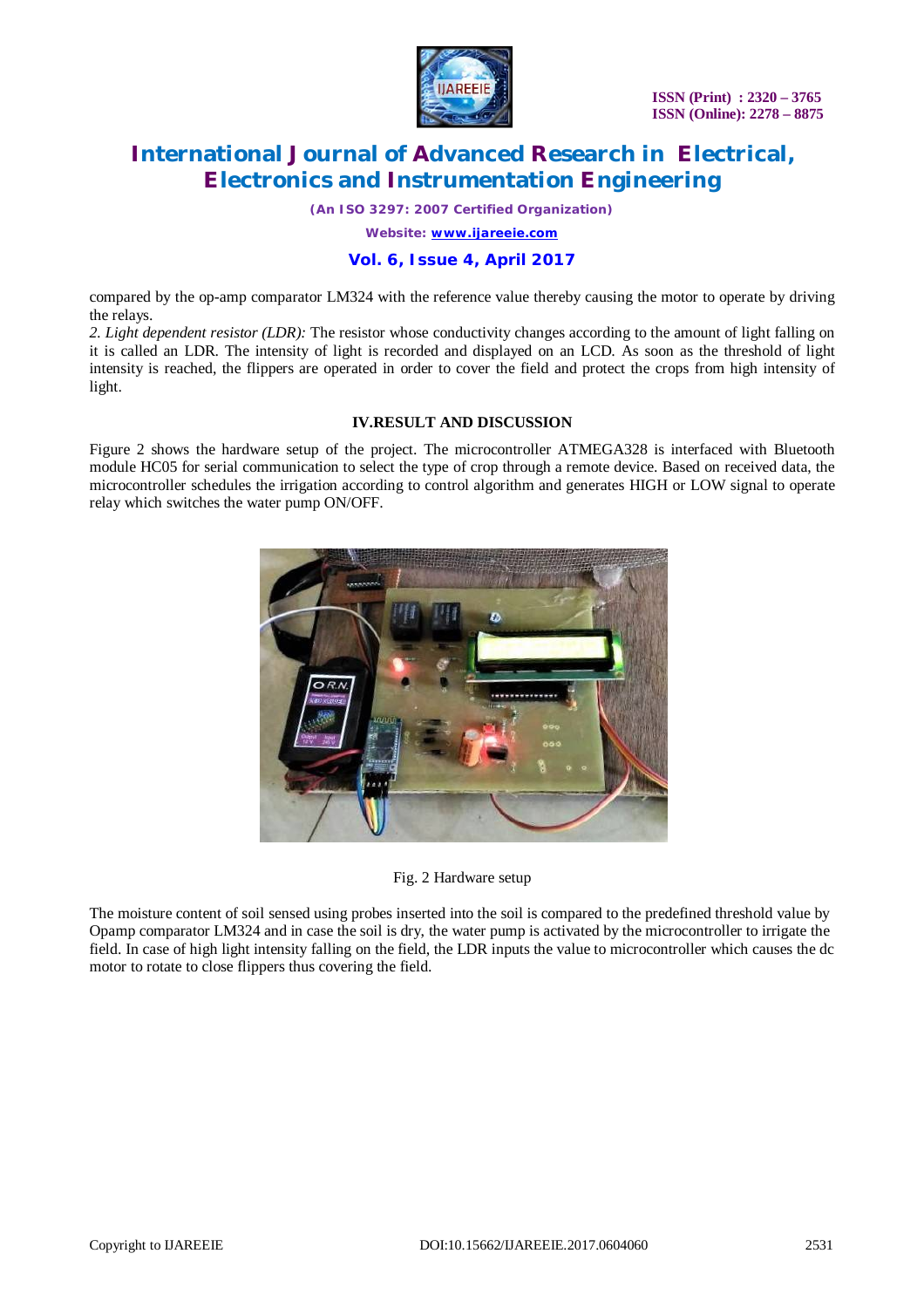

*(An ISO 3297: 2007 Certified Organization)*

*Website: [www.ijareeie.com](http://www.ijareeie.com)*

## **Vol. 6, Issue 4, April 2017**

compared by the op-amp comparator LM324 with the reference value thereby causing the motor to operate by driving the relays.

*2. Light dependent resistor (LDR):* The resistor whose conductivity changes according to the amount of light falling on it is called an LDR. The intensity of light is recorded and displayed on an LCD. As soon as the threshold of light intensity is reached, the flippers are operated in order to cover the field and protect the crops from high intensity of light.

## **IV.RESULT AND DISCUSSION**

Figure 2 shows the hardware setup of the project. The microcontroller ATMEGA328 is interfaced with Bluetooth module HC05 for serial communication to select the type of crop through a remote device. Based on received data, the microcontroller schedules the irrigation according to control algorithm and generates HIGH or LOW signal to operate relay which switches the water pump ON/OFF.



Fig. 2 Hardware setup

The moisture content of soil sensed using probes inserted into the soil is compared to the predefined threshold value by Opamp comparator LM324 and in case the soil is dry, the water pump is activated by the microcontroller to irrigate the field. In case of high light intensity falling on the field, the LDR inputs the value to microcontroller which causes the dc motor to rotate to close flippers thus covering the field.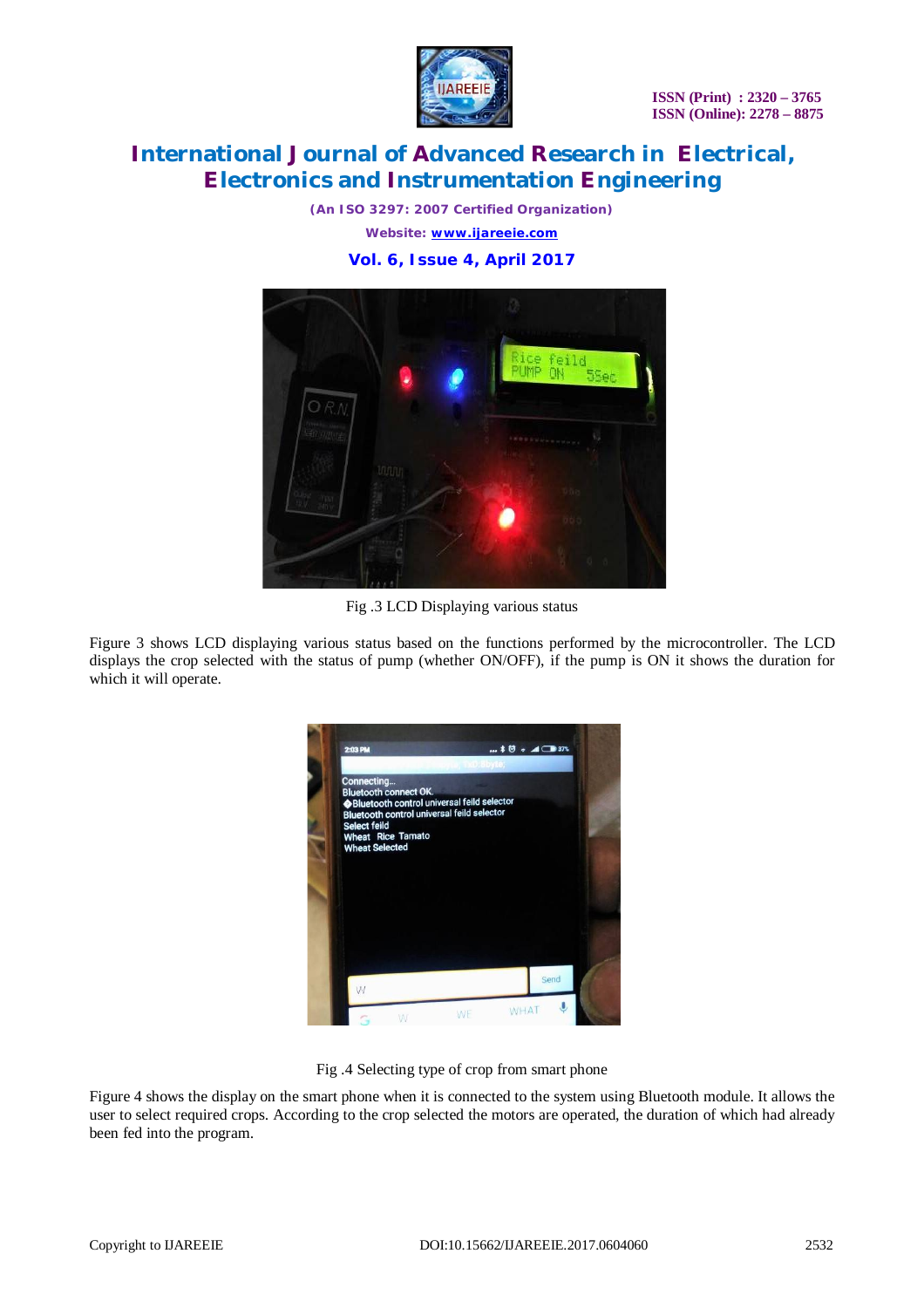

*(An ISO 3297: 2007 Certified Organization) Website: [www.ijareeie.com](http://www.ijareeie.com)* **Vol. 6, Issue 4, April 2017**



Fig .3 LCD Displaying various status

Figure 3 shows LCD displaying various status based on the functions performed by the microcontroller. The LCD displays the crop selected with the status of pump (whether ON/OFF), if the pump is ON it shows the duration for which it will operate.



Fig .4 Selecting type of crop from smart phone

Figure 4 shows the display on the smart phone when it is connected to the system using Bluetooth module. It allows the user to select required crops. According to the crop selected the motors are operated, the duration of which had already been fed into the program.